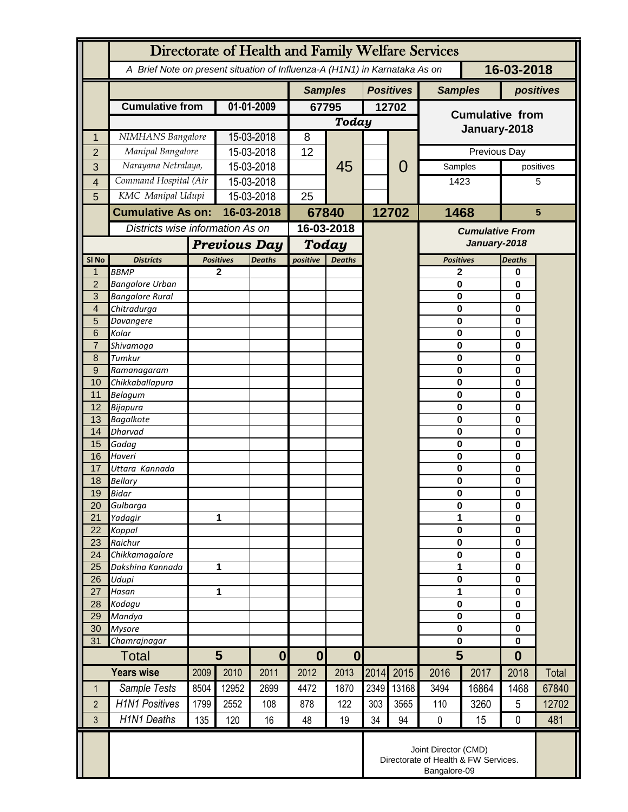|                              | Directorate of Health and Family Welfare Services                            |                       |                                         |                |                                                                            |                  |      |                                        |                         |                 |                   |                |  |
|------------------------------|------------------------------------------------------------------------------|-----------------------|-----------------------------------------|----------------|----------------------------------------------------------------------------|------------------|------|----------------------------------------|-------------------------|-----------------|-------------------|----------------|--|
|                              |                                                                              |                       |                                         |                | A Brief Note on present situation of Influenza-A (H1N1) in Karnataka As on |                  |      |                                        | 16-03-2018              |                 |                   |                |  |
|                              |                                                                              |                       |                                         | <b>Samples</b> |                                                                            | <b>Positives</b> |      | <b>Samples</b>                         |                         | positives       |                   |                |  |
|                              | <b>Cumulative from</b>                                                       | 01-01-2009            |                                         | 67795          |                                                                            | 12702            |      | <b>Cumulative from</b>                 |                         |                 |                   |                |  |
|                              |                                                                              |                       |                                         | Today          |                                                                            |                  |      | January-2018                           |                         |                 |                   |                |  |
| 1                            | NIMHANS Bangalore                                                            |                       | 15-03-2018                              |                | 8                                                                          |                  |      |                                        |                         |                 |                   |                |  |
| $\overline{2}$               | Manipal Bangalore<br>Narayana Netralaya,                                     |                       | 15-03-2018                              |                | 12                                                                         |                  |      |                                        |                         | Previous Day    |                   |                |  |
| 3                            |                                                                              | Command Hospital (Air |                                         | 15-03-2018     |                                                                            | 45               |      | 0                                      |                         | Samples<br>1423 |                   | positives<br>5 |  |
| $\overline{\mathbf{4}}$<br>5 | KMC Manipal Udupi                                                            |                       | 15-03-2018<br>15-03-2018                |                | 25                                                                         |                  |      |                                        |                         |                 |                   |                |  |
|                              | <b>Cumulative As on:</b>                                                     |                       | 16-03-2018                              |                |                                                                            |                  |      | 12702                                  | 1468                    |                 | $5\phantom{1}$    |                |  |
|                              | Districts wise information As on                                             |                       |                                         |                | 67840<br>16-03-2018                                                        |                  |      |                                        |                         |                 |                   |                |  |
|                              |                                                                              |                       |                                         |                |                                                                            |                  |      | <b>Cumulative From</b><br>January-2018 |                         |                 |                   |                |  |
| SI No                        | <b>Districts</b>                                                             |                       | <b>Previous Day</b><br><b>Positives</b> |                | Today<br>positive<br><b>Deaths</b>                                         |                  |      |                                        | <b>Positives</b>        |                 | <b>Deaths</b>     |                |  |
| $\mathbf 1$                  | <b>BBMP</b>                                                                  |                       | $\mathbf{2}$                            | <b>Deaths</b>  |                                                                            |                  |      |                                        | $\mathbf{2}$            |                 | 0                 |                |  |
| $\overline{2}$               | <b>Bangalore Urban</b>                                                       |                       |                                         |                |                                                                            |                  |      |                                        | $\bf{0}$                |                 | 0                 |                |  |
| 3                            | <b>Bangalore Rural</b>                                                       |                       |                                         |                |                                                                            |                  |      |                                        | $\bf{0}$                |                 | 0                 |                |  |
| 4                            | Chitradurga                                                                  |                       |                                         |                |                                                                            |                  |      |                                        | $\mathbf 0$             |                 | 0                 |                |  |
| 5<br>6                       | Davangere<br>Kolar                                                           |                       |                                         |                |                                                                            |                  |      |                                        | $\mathbf 0$<br>$\bf{0}$ |                 | 0                 |                |  |
| $\overline{7}$               | Shivamoga                                                                    |                       |                                         |                |                                                                            |                  |      |                                        | $\mathbf 0$             |                 |                   | 0<br>0         |  |
| 8                            | Tumkur                                                                       |                       |                                         |                |                                                                            |                  |      |                                        | $\bf{0}$                |                 | 0                 |                |  |
| 9                            | Ramanagaram                                                                  |                       |                                         |                |                                                                            |                  |      |                                        | $\bf{0}$                |                 | 0                 |                |  |
| 10                           | Chikkaballapura                                                              |                       |                                         |                |                                                                            |                  |      |                                        | $\mathbf 0$             |                 | 0                 |                |  |
| 11                           | <b>Belagum</b>                                                               |                       |                                         |                |                                                                            |                  |      |                                        | $\bf{0}$<br>$\bf{0}$    |                 | 0                 |                |  |
| 12<br>13                     | Bijapura<br><b>Bagalkote</b>                                                 |                       |                                         |                |                                                                            |                  |      |                                        | $\mathbf 0$             |                 | 0<br>0            |                |  |
| 14                           | <b>Dharvad</b>                                                               |                       |                                         |                |                                                                            |                  |      |                                        | $\mathbf 0$             |                 | 0                 |                |  |
| 15                           | Gadag                                                                        |                       |                                         |                |                                                                            |                  |      |                                        | $\mathbf 0$             |                 | 0                 |                |  |
| 16                           | Haveri                                                                       |                       |                                         |                |                                                                            |                  |      |                                        | $\bf{0}$                |                 | 0                 |                |  |
| 17                           | Uttara Kannada                                                               |                       |                                         |                |                                                                            |                  |      |                                        | $\mathbf 0$             |                 | 0                 |                |  |
| 18<br>19                     | <b>Bellary</b><br>Bidar                                                      |                       |                                         |                |                                                                            |                  |      |                                        | 0<br>$\bf{0}$           |                 | 0<br>0            |                |  |
| 20                           | Gulbarga                                                                     |                       |                                         |                |                                                                            |                  |      |                                        | $\pmb{0}$               |                 | 0                 |                |  |
| 21                           | Yadagir                                                                      |                       | 1                                       |                |                                                                            |                  |      |                                        | 1                       |                 | 0                 |                |  |
| 22                           | Koppal                                                                       |                       |                                         |                |                                                                            |                  |      |                                        | $\mathbf 0$             |                 | 0                 |                |  |
| 23                           | Raichur                                                                      |                       |                                         |                |                                                                            |                  |      |                                        | $\mathbf 0$             |                 | 0                 |                |  |
| 24<br>25                     | Chikkamagalore<br>Dakshina Kannada                                           |                       | 1                                       |                |                                                                            |                  |      |                                        | $\mathbf 0$<br>1        |                 | 0<br>0            |                |  |
| 26                           | Udupi                                                                        |                       |                                         |                |                                                                            |                  |      |                                        |                         | $\pmb{0}$       |                   |                |  |
| 27                           | Hasan                                                                        | 1                     |                                         |                |                                                                            |                  |      |                                        | 1                       |                 | 0<br>0            |                |  |
| 28                           | Kodagu                                                                       |                       |                                         |                |                                                                            |                  |      |                                        | $\bf{0}$                |                 | 0                 |                |  |
| 29                           | Mandya                                                                       |                       |                                         |                |                                                                            |                  |      |                                        | $\bf{0}$                |                 | 0                 |                |  |
| 30<br>31                     | <b>Mysore</b><br>Chamrajnagar                                                |                       |                                         |                |                                                                            |                  |      |                                        | $\mathbf 0$             |                 | 0<br>$\mathbf{0}$ |                |  |
|                              | 5<br><b>Total</b>                                                            |                       |                                         | $\bf{0}$       | $\mathbf{0}$                                                               | $\mathbf 0$      |      |                                        | $\mathbf 0$<br>5        |                 | $\bf{0}$          |                |  |
| <b>Years wise</b>            |                                                                              | 2009<br>2010          |                                         |                | 2012                                                                       | 2013             | 2014 | 2015                                   | 2016                    | 2017            | 2018              | Total          |  |
|                              | Sample Tests                                                                 |                       | 12952                                   | 2011<br>2699   |                                                                            |                  |      |                                        |                         | 16864           | 1468              | 67840          |  |
| $\mathbf 1$                  |                                                                              | 8504                  |                                         |                | 4472                                                                       | 1870             | 2349 | 13168                                  | 3494                    |                 |                   |                |  |
| $\overline{2}$               | <b>H1N1 Positives</b>                                                        | 1799                  | 2552                                    | 108            | 878                                                                        | 122              | 303  | 3565                                   | 110                     | 3260            | 5                 | 12702          |  |
| 3                            | <b>H1N1 Deaths</b>                                                           | 135                   | 120                                     | 16             | 48                                                                         | 19               | 34   | 94                                     | $\pmb{0}$               | 15              | 0                 | 481            |  |
|                              | Joint Director (CMD)<br>Directorate of Health & FW Services.<br>Bangalore-09 |                       |                                         |                |                                                                            |                  |      |                                        |                         |                 |                   |                |  |